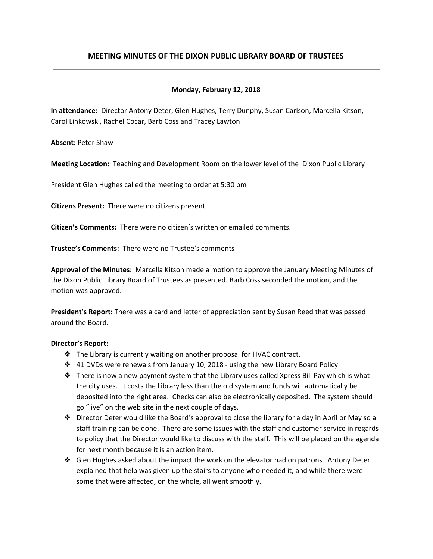# **MEETING MINUTES OF THE DIXON PUBLIC LIBRARY BOARD OF TRUSTEES**

## **Monday, February 12, 2018**

**In attendance:** Director Antony Deter, Glen Hughes, Terry Dunphy, Susan Carlson, Marcella Kitson, Carol Linkowski, Rachel Cocar, Barb Coss and Tracey Lawton

**Absent:** Peter Shaw

**Meeting Location:** Teaching and Development Room on the lower level of the Dixon Public Library

President Glen Hughes called the meeting to order at 5:30 pm

**Citizens Present:** There were no citizens present

**Citizen's Comments:** There were no citizen's written or emailed comments.

**Trustee's Comments:** There were no Trustee's comments

**Approval of the Minutes:** Marcella Kitson made a motion to approve the January Meeting Minutes of the Dixon Public Library Board of Trustees as presented. Barb Coss seconded the motion, and the motion was approved.

**President's Report:** There was a card and letter of appreciation sent by Susan Reed that was passed around the Board.

### **Director's Report:**

- ❖ The Library is currently waiting on another proposal for HVAC contract.
- ❖ 41 DVDs were renewals from January 10, 2018 using the new Library Board Policy
- ❖ There is now a new payment system that the Library uses called Xpress Bill Pay which is what the city uses. It costs the Library less than the old system and funds will automatically be deposited into the right area. Checks can also be electronically deposited. The system should go "live" on the web site in the next couple of days.
- ❖ Director Deter would like the Board's approval to close the library for a day in April or May so a staff training can be done. There are some issues with the staff and customer service in regards to policy that the Director would like to discuss with the staff. This will be placed on the agenda for next month because it is an action item.
- ❖ Glen Hughes asked about the impact the work on the elevator had on patrons. Antony Deter explained that help was given up the stairs to anyone who needed it, and while there were some that were affected, on the whole, all went smoothly.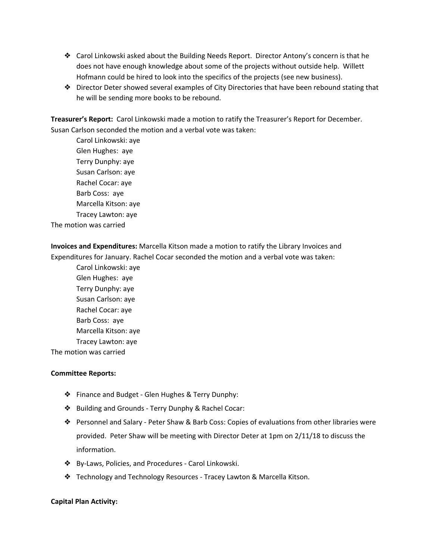- ❖ Carol Linkowski asked about the Building Needs Report. Director Antony's concern is that he does not have enough knowledge about some of the projects without outside help. Willett Hofmann could be hired to look into the specifics of the projects (see new business).
- ❖ Director Deter showed several examples of City Directories that have been rebound stating that he will be sending more books to be rebound.

**Treasurer's Report:** Carol Linkowski made a motion to ratify the Treasurer's Report for December. Susan Carlson seconded the motion and a verbal vote was taken:

Carol Linkowski: aye Glen Hughes: aye Terry Dunphy: aye Susan Carlson: aye Rachel Cocar: aye Barb Coss: aye Marcella Kitson: aye Tracey Lawton: aye The motion was carried

**Invoices and Expenditures:** Marcella Kitson made a motion to ratify the Library Invoices and Expenditures for January. Rachel Cocar seconded the motion and a verbal vote was taken:

Carol Linkowski: aye Glen Hughes: aye Terry Dunphy: aye Susan Carlson: aye Rachel Cocar: aye Barb Coss: aye Marcella Kitson: aye Tracey Lawton: aye The motion was carried

#### **Committee Reports:**

- ❖ Finance and Budget Glen Hughes & Terry Dunphy:
- ❖ Building and Grounds Terry Dunphy & Rachel Cocar:
- ❖ Personnel and Salary Peter Shaw & Barb Coss: Copies of evaluations from other libraries were provided. Peter Shaw will be meeting with Director Deter at 1pm on 2/11/18 to discuss the information.
- ❖ By-Laws, Policies, and Procedures Carol Linkowski.
- ❖ Technology and Technology Resources Tracey Lawton & Marcella Kitson.

#### **Capital Plan Activity:**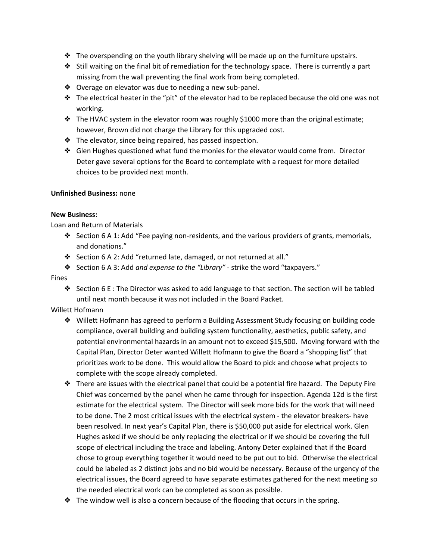- ❖ The overspending on the youth library shelving will be made up on the furniture upstairs.
- ❖ Still waiting on the final bit of remediation for the technology space. There is currently a part missing from the wall preventing the final work from being completed.
- ❖ Overage on elevator was due to needing a new sub-panel.
- ❖ The electrical heater in the "pit" of the elevator had to be replaced because the old one was not working.
- ❖ The HVAC system in the elevator room was roughly \$1000 more than the original estimate; however, Brown did not charge the Library for this upgraded cost.
- ❖ The elevator, since being repaired, has passed inspection.
- ❖ Glen Hughes questioned what fund the monies for the elevator would come from. Director Deter gave several options for the Board to contemplate with a request for more detailed choices to be provided next month.

# **Unfinished Business:** none

# **New Business:**

Loan and Return of Materials

- ❖ Section 6 A 1: Add "Fee paying non-residents, and the various providers of grants, memorials, and donations."
- ❖ Section 6 A 2: Add "returned late, damaged, or not returned at all."
- ❖ Section 6 A 3: Add *and expense to the "Library"* strike the word "taxpayers."

## Fines

- ❖ Section 6 E : The Director was asked to add language to that section. The section will be tabled until next month because it was not included in the Board Packet.
- Willett Hofmann
	- ❖ Willett Hofmann has agreed to perform a Building Assessment Study focusing on building code compliance, overall building and building system functionality, aesthetics, public safety, and potential environmental hazards in an amount not to exceed \$15,500. Moving forward with the Capital Plan, Director Deter wanted Willett Hofmann to give the Board a "shopping list" that prioritizes work to be done. This would allow the Board to pick and choose what projects to complete with the scope already completed.
	- ❖ There are issues with the electrical panel that could be a potential fire hazard. The Deputy Fire Chief was concerned by the panel when he came through for inspection. Agenda 12d is the first estimate for the electrical system. The Director will seek more bids for the work that will need to be done. The 2 most critical issues with the electrical system - the elevator breakers- have been resolved. In next year's Capital Plan, there is \$50,000 put aside for electrical work. Glen Hughes asked if we should be only replacing the electrical or if we should be covering the full scope of electrical including the trace and labeling. Antony Deter explained that if the Board chose to group everything together it would need to be put out to bid. Otherwise the electrical could be labeled as 2 distinct jobs and no bid would be necessary. Because of the urgency of the electrical issues, the Board agreed to have separate estimates gathered for the next meeting so the needed electrical work can be completed as soon as possible.
	- $\triangle$  The window well is also a concern because of the flooding that occurs in the spring.